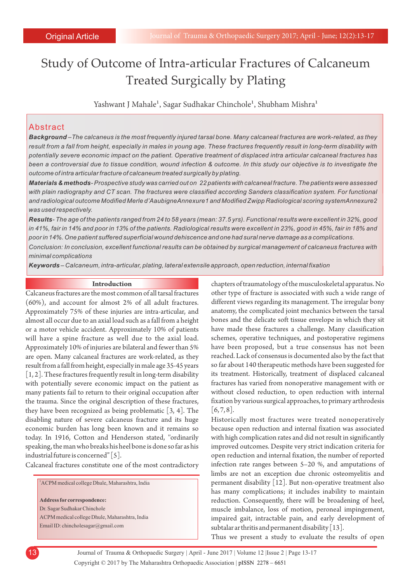# Study of Outcome of Intra-articular Fractures of Calcaneum Treated Surgically by Plating

Yashwant J Mahale<sup>1</sup>, Sagar Sudhakar Chinchole<sup>1</sup>, Shubham Mishra<sup>1</sup>

## Abstract

*Background –The calcaneus is the most frequently injured tarsal bone. Many calcaneal fractures are work-related, as they result from a fall from height, especially in males in young age. These fractures frequently result in long-term disability with potentially severe economic impact on the patient. Operative treatment of displaced intra articular calcaneal fractures has been a controversial due to tissue condition, wound infection & outcome. In this study our objective is to investigate the outcome of intra articular fracture of calcaneum treated surgically by plating.*

*Materials & methods- Prospective study was carried out on 22 patients with calcaneal fracture. The patients were assessed with plain radiography and CT scan. The fractures were classified according Sanders classification system. For functional and radiological outcome Modified Merle d'AaubigneAnnexure1 and Modified Zwipp Radiological scoring systemAnnexure2 was used respectively.*

*Results- The age of the patients ranged from 24 to 58 years (mean: 37.5 yrs). Functional results were excellent in 32%, good in 41%, fair in 14% and poor in 13% of the patients. Radiological results were excellent in 23%, good in 45%, fair in 18% and poor in 14%. One patient suffered superficial wound dehiscence and one had sural nerve damage as a complications.*

*Conclusion: In conclusion, excellent functional results can be obtained by surgical management of calcaneus fractures with minimal complications*

*Keywords – Calcaneum, intra-articular, plating, lateral extensile approach, open reduction, internal fixation*

#### **Introduction**

Calcaneus fractures are the most common of all tarsal fractures (60%), and account for almost 2% of all adult fractures. Approximately 75% of these injuries are intra-articular, and almost all occur due to an axial load such as a fall from a height or a motor vehicle accident. Approximately 10% of patients will have a spine fracture as well due to the axial load. Approximately 10% of injuries are bilateral and fewer than 5% are open. Many calcaneal fractures are work-related, as they result from a fall from height, especially in male age 35-45 years [1, 2]. These fractures frequently result in long-term disability with potentially severe economic impact on the patient as many patients fail to return to their original occupation after the trauma. Since the original description of these fractures, they have been recognized as being problematic [3, 4]. The disabling nature of severe calcaneus fracture and its huge economic burden has long been known and it remains so today. In 1916, Cotton and Henderson stated, ''ordinarily speaking, the man who breaks his heel bone is done so far as his industrial future is concerned" [5].

Calcaneal fractures constitute one of the most contradictory

<sup>1</sup>ACPM medical college Dhule, Maharashtra, India **Address for correspondence:**  Dr. Sagar Sudhakar Chinchole ACPM medical college Dhule, Maharashtra, India Email ID: chincholesagar@gmail.com

chapters of traumatology of the musculoskeletal apparatus. No other type of fracture is associated with such a wide range of different views regarding its management. The irregular bony anatomy, the complicated joint mechanics between the tarsal bones and the delicate soft tissue envelope in which they sit have made these fractures a challenge. Many classification schemes, operative techniques, and postoperative regimens have been proposed, but a true consensus has not been reached. Lack of consensus is documented also by the fact that so far about 140 therapeutic methods have been suggested for its treatment. Historically, treatment of displaced calcaneal fractures has varied from nonoperative management with or without closed reduction, to open reduction with internal fixation by various surgical approaches, to primary arthrodesis  $[6, 7, 8]$ .

Historically most fractures were treated nonoperatively because open reduction and internal fixation was associated with high complication rates and did not result in significantly improved outcomes. Despite very strict indication criteria for open reduction and internal fixation, the number of reported infection rate ranges between 5–20 %, and amputations of limbs are not an exception due chronic osteomyelitis and permanent disability [12]. But non-operative treatment also has many complications; it includes inability to maintain reduction. Consequently, there will be broadening of heel, muscle imbalance, loss of motion, peroneal impingement, impaired gait, intractable pain, and early development of subtalar ar thritis and permanent disability [13].

Thus we present a study to evaluate the results of open

Copyright © 2017 by The Maharashtra Orthopaedic Association | 13 Journal of Trauma & Orthopaedic Surgery | April - June 2017 | Volume 12 |Issue 2 | Page 13-17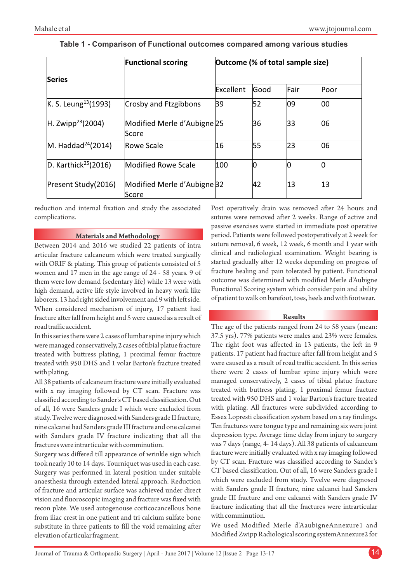|                                  | <b>Functional scoring</b>            | Outcome (% of total sample size) |      |      |      |
|----------------------------------|--------------------------------------|----------------------------------|------|------|------|
| <b>Series</b>                    |                                      |                                  |      |      |      |
|                                  |                                      | Excellent                        | Good | Fair | Poor |
| K. S. Leung <sup>13</sup> (1993) | Crosby and Ftzgibbons                | 39                               | 52   | 09   | 00   |
| H. Zwipp <sup>23</sup> (2004)    | Modified Merle d'Aubigne 25<br>Score |                                  | 36   | 33   | 06   |
| M. Haddad <sup>24</sup> (2014)   | Rowe Scale                           | 16                               | 55   | 23   | 06   |
| D. Karthick <sup>25</sup> (2016) | <b>Modified Rowe Scale</b>           | 100                              | Ю    |      |      |
| Present Study(2016)              | Modified Merle d'Aubigne 32<br>Score |                                  | 42   | 13   | 13   |

## **Table 1 - Comparison of Functional outcomes compared among various studies**

reduction and internal fixation and study the associated complications.

## **Materials and Methodology**

Between 2014 and 2016 we studied 22 patients of intra articular fracture calcaneum which were treated surgically with ORIF & plating. This group of patients consisted of 5 women and 17 men in the age range of 24 - 58 years. 9 of them were low demand (sedentary life) while 13 were with high demand, active life style involved in heavy work like laborers. 13 had right sided involvement and 9 with left side. When considered mechanism of injury, 17 patient had fracture after fall from height and 5 were caused as a result of road traffic accident.

In this series there were 2 cases of lumbar spine injury which were managed conservatively, 2 cases of tibial platue fracture treated with buttress plating, 1 proximal femur fracture treated with 950 DHS and 1 volar Barton's fracture treated with plating.

All 38 patients of calcaneum fracture were initially evaluated with x ray imaging followed by CT scan. Fracture was classified according to Sander's CT based classification. Out of all, 16 were Sanders grade I which were excluded from study. Twelve were diagnosed with Sanders grade II fracture, nine calcanei had Sanders grade III fracture and one calcanei with Sanders grade IV fracture indicating that all the fractures were intrarticular with comminution.

Surgery was differed till appearance of wrinkle sign which took nearly 10 to 14 days. Tourniquet was used in each case. Surgery was performed in lateral position under suitable anaesthesia through extended lateral approach. Reduction of fracture and articular surface was achieved under direct vision and fluoroscopic imaging and fracture was fixed with recon plate. We used autogenouse corticocancellous bone from iliac crest in one patient and tri calcium sulfate bone substitute in three patients to fill the void remaining after elevation of articular fragment.

Post operatively drain was removed after 24 hours and sutures were removed after 2 weeks. Range of active and passive exercises were started in immediate post operative period. Patients were followed postoperatively at 2 week for suture removal, 6 week, 12 week, 6 month and 1 year with clinical and radiological examination. Weight bearing is started gradually after 12 weeks depending on progress of fracture healing and pain tolerated by patient. Functional outcome was determined with modified Merle d'Aubigne Functional Scoring system which consider pain and ability of patient to walk on barefoot, toes, heels and with footwear.

### **Results**

The age of the patients ranged from 24 to 58 years (mean: 37.5 yrs). 77% patients were males and 23% were females. The right foot was affected in 13 patients, the left in 9 patients. 17 patient had fracture after fall from height and 5 were caused as a result of road traffic accident. In this series there were 2 cases of lumbar spine injury which were managed conservatively, 2 cases of tibial platue fracture treated with buttress plating, 1 proximal femur fracture treated with 950 DHS and 1 volar Barton's fracture treated with plating. All fractures were subdivided according to Essex Lopresti classification system based on x ray findings. Ten fractures were tongue type and remaining six were joint depression type. Average time delay from injury to surgery was 7 days (range, 4- 14 days). All 38 patients of calcaneum fracture were initially evaluated with x ray imaging followed by CT scan. Fracture was classified according to Sander's CT based classification. Out of all, 16 were Sanders grade I which were excluded from study. Twelve were diagnosed with Sanders grade II fracture, nine calcanei had Sanders grade III fracture and one calcanei with Sanders grade IV fracture indicating that all the fractures were intrarticular with comminution.

We used Modified Merle d'AaubigneAnnexure1 and Modified Zwipp Radiological scoring systemAnnexure2 for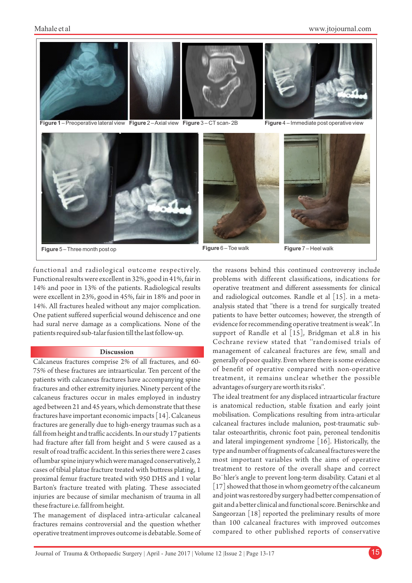

**Figure 1** – Preoperative lateral view **Figure** 2 – Axial view **Figure** 3 – CTscan- 2B **Figure** 4 – Immediate post operative view



**Figure** 5 – Three month post op **Figure** 6 – Toe walk **Figure** 7 – Heel walk

functional and radiological outcome respectively. Functional results were excellent in 32%, good in 41%, fair in 14% and poor in 13% of the patients. Radiological results were excellent in 23%, good in 45%, fair in 18% and poor in 14%. All fractures healed without any major complication. One patient suffered superficial wound dehiscence and one had sural nerve damage as a complications. None of the patients required sub-talar fusion till the last follow-up.

#### **Discussion**

Calcaneus fractures comprise 2% of all fractures, and 60- 75% of these fractures are intraarticular. Ten percent of the patients with calcaneus fractures have accompanying spine fractures and other extremity injuries. Ninety percent of the calcaneus fractures occur in males employed in industry aged between 21 and 45 years, which demonstrate that these fractures have important economic impacts [14]. Calcaneus fractures are generally due to high-energy traumas such as a fall from height and traffic accidents. In our study 17 patients had fracture after fall from height and 5 were caused as a result of road traffic accident. In this series there were 2 cases of lumbar spine injury which were managed conservatively, 2 cases of tibial platue fracture treated with buttress plating, 1 proximal femur fracture treated with 950 DHS and 1 volar Barton's fracture treated with plating. These associated injuries are because of similar mechanism of trauma in all these fracture i.e. fall from height.

The management of displaced intra-articular calcaneal fractures remains controversial and the question whether operative treatment improves outcome is debatable. Some of the reasons behind this continued controversy include problems with different classifications, indications for operative treatment and different assessments for clinical and radiological outcomes. Randle et al [15]. in a metaanalysis stated that ''there is a trend for surgically treated patients to have better outcomes; however, the strength of evidence for recommending operative treatment is weak''. In support of Randle et al [15], Bridgman et al.8 in his Cochrane review stated that ''randomised trials of management of calcaneal fractures are few, small and generally of poor quality. Even where there is some evidence of benefit of operative compared with non-operative treatment, it remains unclear whether the possible advantages of surgery are worth its risks''.

The ideal treatment for any displaced intraarticular fracture is anatomical reduction, stable fixation and early joint mobilisation. Complications resulting from intra-articular calcaneal fractures include malunion, post-traumatic subtalar osteoarthritis, chronic foot pain, peroneal tendonitis and lateral impingement syndrome [16]. Historically, the type and number of fragments of calcaneal fractures were the most important variables with the aims of operative treatment to restore of the overall shape and correct Bo¨hler's angle to prevent long-term disability. Catani et al [17] showed that those in whom geometry of the calcaneum and joint was restored by surgery had better compensation of gait and a better clinical and functional score. Benirschke and Sangeorzan [18] reported the preliminary results of more than 100 calcaneal fractures with improved outcomes compared to other published reports of conservative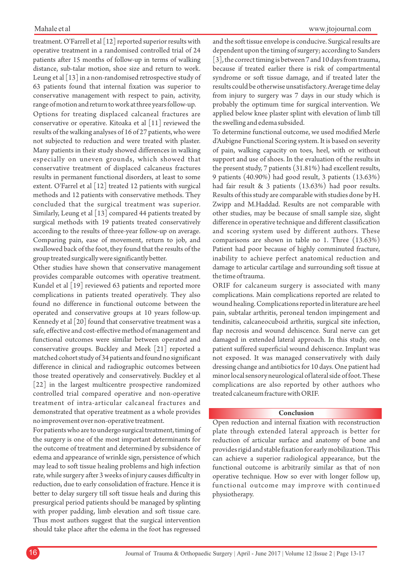#### Mahale et al

treatment. O'Farrell et al [12] reported superior results with operative treatment in a randomised controlled trial of 24 patients after 15 months of follow-up in terms of walking distance, sub-talar motion, shoe size and return to work. Leung et al [13] in a non-randomised retrospective study of 63 patients found that internal fixation was superior to conservative management with respect to pain, activity, range of motion and return to work at three years follow-up.

Options for treating displaced calcaneal fractures are conservative or operative. Kitoaka et al [11] reviewed the results of the walking analyses of 16 of 27 patients, who were not subjected to reduction and were treated with plaster. Many patients in their study showed differences in walking especially on uneven grounds, which showed that conservative treatment of displaced calcaneus fractures results in permanent functional disorders, at least to some extent. O'Farrel et al [12] treated 12 patients with surgical methods and 12 patients with conservative methods. They concluded that the surgical treatment was superior. Similarly, Leung et al [13] compared 44 patients treated by surgical methods with 19 patients treated conservatively according to the results of three-year follow-up on average. Comparing pain, ease of movement, return to job, and swallowed back of the foot, they found that the results of the group treated surgically were significantly better.

Other studies have shown that conservative management provides comparable outcomes with operative treatment. Kundel et al [19] reviewed 63 patients and reported more complications in patients treated operatively. They also found no difference in functional outcome between the operated and conservative groups at 10 years follow-up. Kennedy et al [20] found that conservative treatment was a safe, effective and cost-effective method of management and functional outcomes were similar between operated and conservative groups. Buckley and Meek [21] reported a matched cohort study of 34 patients and found no significant difference in clinical and radiographic outcomes between those treated operatively and conservatively. Buckley et al [22] in the largest multicentre prospective randomized controlled trial compared operative and non-operative treatment of intra-articular calcaneal fractures and demonstrated that operative treatment as a whole provides no improvement over non-operative treatment.

For patients who are to undergo surgical treatment, timing of the surgery is one of the most important determinants for the outcome of treatment and determined by subsidence of edema and appearance of wrinkle sign, persistence of which may lead to soft tissue healing problems and high infection rate, while surgery after 3 weeks of injury causes difficulty in reduction, due to early consolidation of fracture. Hence it is better to delay surgery till soft tissue heals and during this presurgical period patients should be managed by splinting with proper padding, limb elevation and soft tissue care. Thus most authors suggest that the surgical intervention should take place after the edema in the foot has regressed

and the soft tissue envelope is conducive. Surgical results are dependent upon the timing of surgery; according to Sanders [3], the correct timing is between 7 and 10 days from trauma, because if treated earlier there is risk of compartmental syndrome or soft tissue damage, and if treated later the results could be otherwise unsatisfactory. Average time delay from injury to surgery was 7 days in our study which is probably the optimum time for surgical intervention. We applied below knee plaster splint with elevation of limb till the swelling and edema subsided.

To determine functional outcome, we used modified Merle d'Aubigne Functional Scoring system. It is based on severity of pain, walking capacity on toes, heel, with or without support and use of shoes. In the evaluation of the results in the present study, 7 patients (31.81%) had excellent results, 9 patients (40.90%) had good result, 3 patients (13.63%) had fair result & 3 patients (13.63%) had poor results. Results of this study are comparable with studies done by H. Zwipp and M.Haddad. Results are not comparable with other studies, may be because of small sample size, slight difference in operative technique and different classification and scoring system used by different authors. These comparisons are shown in table no 1. Three (13.63%) Patient had poor because of highly comminuted fracture, inability to achieve perfect anatomical reduction and damage to articular cartilage and surrounding soft tissue at the time of trauma.

ORIF for calcaneum surgery is associated with many complications. Main complications reported are related to wound healing. Complications reported in literature are heel pain, subtalar arthritis, peroneal tendon impingement and tendinitis, calcaneocuboid arthritis, surgical site infection, flap necrosis and wound dehiscence. Sural nerve can get damaged in extended lateral approach. In this study, one patient suffered superficial wound dehiscence. Implant was not exposed. It was managed conservatively with daily dressing change and antibiotics for 10 days. One patient had minor local sensory neurological of lateral side of foot. These complications are also reported by other authors who treated calcaneum fracture with ORIF.

## **Conclusion**

Open reduction and internal fixation with reconstruction plate through extended lateral approach is better for reduction of articular surface and anatomy of bone and provides rigid and stable fixation for early mobilization. This can achieve a superior radiological appearance, but the functional outcome is arbitrarily similar as that of non operative technique. How so ever with longer follow up, functional outcome may improve with continued physiotherapy.